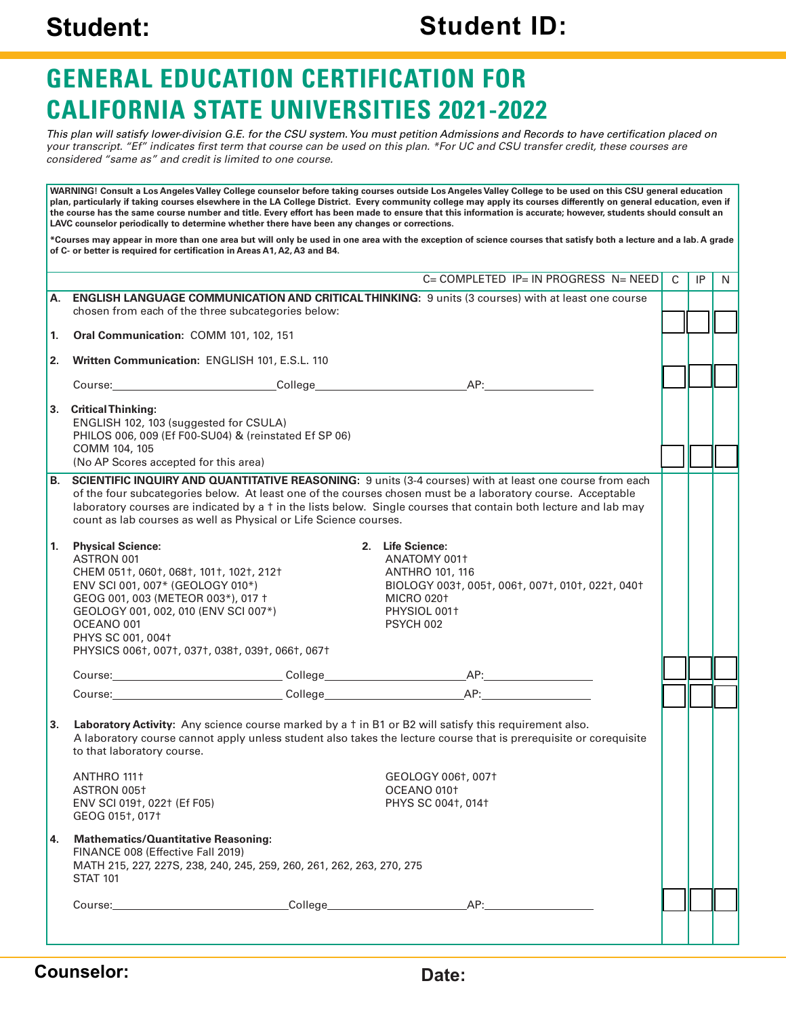### **Student: Student ID:**

## **GENERAL EDUCATION CERTIFICATION FOR CALIFORNIA STATE UNIVERSITIES 2021-2022**

*This plan will satisfy lower-division G.E. for the CSU system. You must petition Admissions and Records to have certification placed on your transcript. "Ef" indicates first term that course can be used on this plan. \*For UC and CSU transfer credit, these courses are considered "same as" and credit is limited to one course.*

**WARNING! Consult a Los Angeles Valley College counselor before taking courses outside Los Angeles Valley College to be used on this CSU general education plan, particularly if taking courses elsewhere in the LA College District. Every community college may apply its courses differently on general education, even if the course has the same course number and title. Every effort has been made to ensure that this information is accurate; however, students should consult an LAVC counselor periodically to determine whether there have been any changes or corrections. \*Courses may appear in more than one area but will only be used in one area with the exception of science courses that satisfy both a lecture and a lab. A grade of C- or better is required for certification in Areas A1, A2, A3 and B4.**  $C = COMPI$  FTED IP= IN PROGRESS N= NEED **A. ENGLISH LANGUAGE COMMUNICATION AND CRITICAL THINKING:** 9 units (3 courses) with at least one course chosen from each of the three subcategories below: **1. Oral Communication:** COMM 101, 102, 151 **2. Written Communication:** ENGLISH 101, E.S.L. 110 Course: AP: **3. Critical Thinking:** ENGLISH 102, 103 (suggested for CSULA) PHILOS 006, 009 (Ef F00-SU04) & (reinstated Ef SP 06) COMM 104, 105 (No AP Scores accepted for this area) **B. SCIENTIFIC INQUIRY AND QUANTITATIVE REASONING:** 9 units (3-4 courses) with at least one course from each of the four subcategories below. At least one of the courses chosen must be a laboratory course. Acceptable laboratory courses are indicated by a † in the lists below. Single courses that contain both lecture and lab may count as lab courses as well as Physical or Life Science courses. **1. Physical Science:** ASTRON 001 CHEM 051†, 060†, 068†, 101†, 102†, 212† ENV SCI 001, 007\* (GEOLOGY 010\*) GEOG 001, 003 (METEOR 003\*), 017 † GEOLOGY 001, 002, 010 (ENV SCI 007\*) OCEANO 001 PHYS SC 001, 004† PHYSICS 006†, 007†, 037†, 038†, 039†, 066†, 067† **2. Life Science:** ANATOMY 001† ANTHRO 101, 116 BIOLOGY 003†, 005†, 006†, 007†, 010†, 022†, 040† MICRO 020† PHYSIOL 001† PSYCH 002 Course: College AP: Course: AP: **3. Laboratory Activity:** Any science course marked by a † in B1 or B2 will satisfy this requirement also. A laboratory course cannot apply unless student also takes the lecture course that is prerequisite or corequisite to that laboratory course. ANTHRO 111† ASTRON 005† ENV SCI 019†, 022† (Ef F05) GEOG 015†, 017† GEOLOGY 006†, 007† OCEANO 010† PHYS SC 004†, 014† **4. Mathematics/Quantitative Reasoning:** FINANCE 008 (Effective Fall 2019) MATH 215, 227, 227S, 238, 240, 245, 259, 260, 261, 262, 263, 270, 275 STAT 101 Course: AP: C **IP** N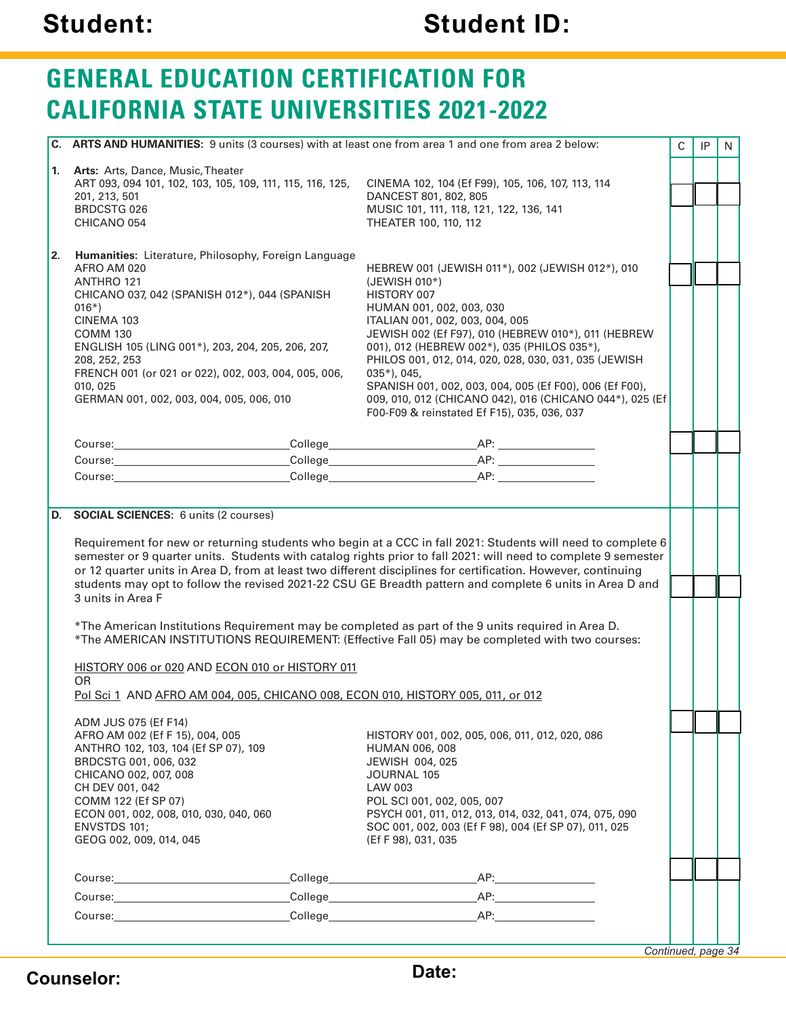# **Student: Student ID:**

# **GENERAL EDUCATION CERTIFICATION FOR CALIFORNIA STATE UNIVERSITIES 2021-2022**

|                                                                                 | C. ARTS AND HUMANITIES: 9 units (3 courses) with at least one from area 1 and one from area 2 below:                                                                                                                                 |                                                                                                             | $\mathsf C$ | IP | N |
|---------------------------------------------------------------------------------|--------------------------------------------------------------------------------------------------------------------------------------------------------------------------------------------------------------------------------------|-------------------------------------------------------------------------------------------------------------|-------------|----|---|
|                                                                                 |                                                                                                                                                                                                                                      |                                                                                                             |             |    |   |
|                                                                                 | 1. Arts: Arts, Dance, Music, Theater                                                                                                                                                                                                 |                                                                                                             |             |    |   |
|                                                                                 | ART 093, 094 101, 102, 103, 105, 109, 111, 115, 116, 125,                                                                                                                                                                            | CINEMA 102, 104 (Ef F99), 105, 106, 107, 113, 114                                                           |             |    |   |
|                                                                                 | 201, 213, 501<br><b>BRDCSTG 026</b>                                                                                                                                                                                                  | DANCEST 801, 802, 805<br>MUSIC 101, 111, 118, 121, 122, 136, 141                                            |             |    |   |
|                                                                                 | CHICANO 054                                                                                                                                                                                                                          | THEATER 100, 110, 112                                                                                       |             |    |   |
|                                                                                 |                                                                                                                                                                                                                                      |                                                                                                             |             |    |   |
| 2.                                                                              | Humanities: Literature, Philosophy, Foreign Language                                                                                                                                                                                 |                                                                                                             |             |    |   |
|                                                                                 | AFRO AM 020                                                                                                                                                                                                                          | HEBREW 001 (JEWISH 011*), 002 (JEWISH 012*), 010                                                            |             |    |   |
|                                                                                 | ANTHRO 121                                                                                                                                                                                                                           | (JEWISH 010*)                                                                                               |             |    |   |
|                                                                                 | CHICANO 037, 042 (SPANISH 012*), 044 (SPANISH                                                                                                                                                                                        | HISTORY 007                                                                                                 |             |    |   |
|                                                                                 | $016*)$<br>CINEMA 103                                                                                                                                                                                                                | HUMAN 001, 002, 003, 030<br>ITALIAN 001, 002, 003, 004, 005                                                 |             |    |   |
|                                                                                 | <b>COMM 130</b>                                                                                                                                                                                                                      | JEWISH 002 (Ef F97), 010 (HEBREW 010*), 011 (HEBREW                                                         |             |    |   |
|                                                                                 | ENGLISH 105 (LING 001*), 203, 204, 205, 206, 207,                                                                                                                                                                                    | 001), 012 (HEBREW 002*), 035 (PHILOS 035*),                                                                 |             |    |   |
|                                                                                 | 208, 252, 253                                                                                                                                                                                                                        | PHILOS 001, 012, 014, 020, 028, 030, 031, 035 (JEWISH                                                       |             |    |   |
|                                                                                 | FRENCH 001 (or 021 or 022), 002, 003, 004, 005, 006,                                                                                                                                                                                 | $035*)$ , 045,                                                                                              |             |    |   |
|                                                                                 | 010, 025<br>GERMAN 001, 002, 003, 004, 005, 006, 010                                                                                                                                                                                 | SPANISH 001, 002, 003, 004, 005 (Ef F00), 006 (Ef F00),                                                     |             |    |   |
|                                                                                 |                                                                                                                                                                                                                                      | 009, 010, 012 (CHICANO 042), 016 (CHICANO 044*), 025 (Ef<br>F00-F09 & reinstated Ef F15), 035, 036, 037     |             |    |   |
|                                                                                 |                                                                                                                                                                                                                                      |                                                                                                             |             |    |   |
|                                                                                 |                                                                                                                                                                                                                                      |                                                                                                             |             |    |   |
|                                                                                 | Course: Course: Course: Course: Course: Course: Course: Course: Course: Course: Course: Course: Course: Course: Course: Course: Course: Course: Course: Course: Course: Course: Course: Course: Course: Course: Course: Course       |                                                                                                             |             |    |   |
|                                                                                 | Course: <u>Course: Course: Course: Course: Course: Course: Course: Course: Course: Course: Course: Course: Course: Course: Course: Course: Course: Course: Course: Course: Course: Course: Course: Course: Course: Course: Cours</u> | College AP:                                                                                                 |             |    |   |
|                                                                                 |                                                                                                                                                                                                                                      |                                                                                                             |             |    |   |
|                                                                                 | D. SOCIAL SCIENCES: 6 units (2 courses)                                                                                                                                                                                              |                                                                                                             |             |    |   |
|                                                                                 |                                                                                                                                                                                                                                      |                                                                                                             |             |    |   |
|                                                                                 |                                                                                                                                                                                                                                      | Requirement for new or returning students who begin at a CCC in fall 2021: Students will need to complete 6 |             |    |   |
|                                                                                 | semester or 9 quarter units. Students with catalog rights prior to fall 2021: will need to complete 9 semester                                                                                                                       |                                                                                                             |             |    |   |
|                                                                                 | or 12 quarter units in Area D, from at least two different disciplines for certification. However, continuing                                                                                                                        |                                                                                                             |             |    |   |
|                                                                                 | students may opt to follow the revised 2021-22 CSU GE Breadth pattern and complete 6 units in Area D and                                                                                                                             |                                                                                                             |             |    |   |
|                                                                                 | 3 units in Area F                                                                                                                                                                                                                    |                                                                                                             |             |    |   |
|                                                                                 | *The American Institutions Requirement may be completed as part of the 9 units required in Area D.                                                                                                                                   |                                                                                                             |             |    |   |
|                                                                                 |                                                                                                                                                                                                                                      | *The AMERICAN INSTITUTIONS REQUIREMENT: (Effective Fall 05) may be completed with two courses:              |             |    |   |
|                                                                                 |                                                                                                                                                                                                                                      |                                                                                                             |             |    |   |
|                                                                                 | HISTORY 006 or 020 AND ECON 010 or HISTORY 011                                                                                                                                                                                       |                                                                                                             |             |    |   |
|                                                                                 | <b>OR</b>                                                                                                                                                                                                                            |                                                                                                             |             |    |   |
| Pol Sci 1 AND AFRO AM 004, 005, CHICANO 008, ECON 010, HISTORY 005, 011, or 012 |                                                                                                                                                                                                                                      |                                                                                                             |             |    |   |
|                                                                                 | ADM JUS 075 (Ef F14)                                                                                                                                                                                                                 |                                                                                                             |             |    |   |
|                                                                                 | AFRO AM 002 (Ef F 15), 004, 005                                                                                                                                                                                                      | HISTORY 001, 002, 005, 006, 011, 012, 020, 086                                                              |             |    |   |
|                                                                                 | ANTHRO 102, 103, 104 (Ef SP 07), 109                                                                                                                                                                                                 | <b>HUMAN 006, 008</b>                                                                                       |             |    |   |
|                                                                                 | BRDCSTG 001, 006, 032                                                                                                                                                                                                                | JEWISH 004, 025                                                                                             |             |    |   |
|                                                                                 | CHICANO 002, 007, 008<br>CH DEV 001, 042                                                                                                                                                                                             | JOURNAL 105<br>LAW 003                                                                                      |             |    |   |
|                                                                                 | COMM 122 (Ef SP 07)                                                                                                                                                                                                                  | POL SCI 001, 002, 005, 007                                                                                  |             |    |   |
|                                                                                 | ECON 001, 002, 008, 010, 030, 040, 060                                                                                                                                                                                               | PSYCH 001, 011, 012, 013, 014, 032, 041, 074, 075, 090                                                      |             |    |   |
|                                                                                 | ENVSTDS 101;                                                                                                                                                                                                                         | SOC 001, 002, 003 (Ef F 98), 004 (Ef SP 07), 011, 025                                                       |             |    |   |
|                                                                                 | GEOG 002, 009, 014, 045                                                                                                                                                                                                              | (Ef F 98), 031, 035                                                                                         |             |    |   |
|                                                                                 |                                                                                                                                                                                                                                      |                                                                                                             |             |    |   |
|                                                                                 |                                                                                                                                                                                                                                      |                                                                                                             |             |    |   |
|                                                                                 |                                                                                                                                                                                                                                      |                                                                                                             |             |    |   |
|                                                                                 |                                                                                                                                                                                                                                      |                                                                                                             |             |    |   |
|                                                                                 |                                                                                                                                                                                                                                      |                                                                                                             |             |    |   |
|                                                                                 |                                                                                                                                                                                                                                      | Continued, page 34                                                                                          |             |    |   |

**Counselor: Date:**